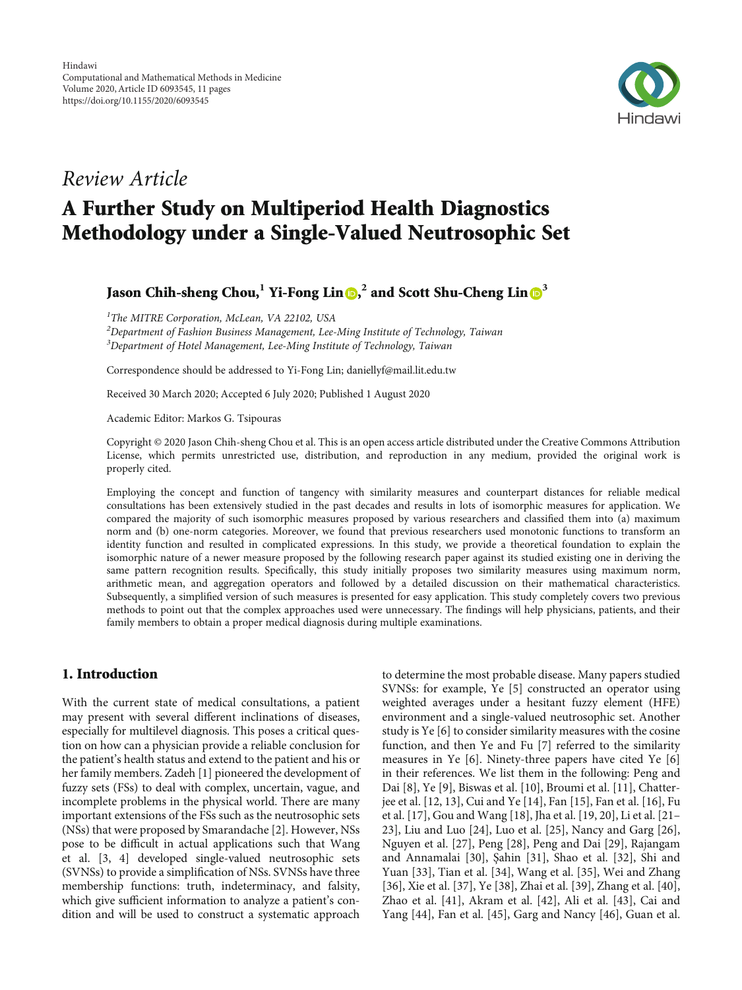

# Review Article

# A Further Study on Multiperiod Health Diagnostics Methodology under a Single-Valued Neutrosophic Set

Jason Chih-sheng Chou,**<sup>1</sup>** Yi-Fong Lin , **<sup>2</sup>** and Scott Shu-Cheng Lin **[3](https://orcid.org/0000-0002-0361-2024)**

<sup>1</sup>The MITRE Corporation, McLean, VA 22102, USA

 $^2$ Department of Fashion Business Management, Lee-Ming Institute of Technology, Taiwan  $3$ Department of Hotel Management, Lee-Ming Institute of Technology, Taiwan

Correspondence should be addressed to Yi-Fong Lin; daniellyf@mail.lit.edu.tw

Received 30 March 2020; Accepted 6 July 2020; Published 1 August 2020

Academic Editor: Markos G. Tsipouras

Copyright © 2020 Jason Chih-sheng Chou et al. This is an open access article distributed under the [Creative Commons Attribution](https://creativecommons.org/licenses/by/4.0/) [License,](https://creativecommons.org/licenses/by/4.0/) which permits unrestricted use, distribution, and reproduction in any medium, provided the original work is properly cited.

Employing the concept and function of tangency with similarity measures and counterpart distances for reliable medical consultations has been extensively studied in the past decades and results in lots of isomorphic measures for application. We compared the majority of such isomorphic measures proposed by various researchers and classified them into (a) maximum norm and (b) one-norm categories. Moreover, we found that previous researchers used monotonic functions to transform an identity function and resulted in complicated expressions. In this study, we provide a theoretical foundation to explain the isomorphic nature of a newer measure proposed by the following research paper against its studied existing one in deriving the same pattern recognition results. Specifically, this study initially proposes two similarity measures using maximum norm, arithmetic mean, and aggregation operators and followed by a detailed discussion on their mathematical characteristics. Subsequently, a simplified version of such measures is presented for easy application. This study completely covers two previous methods to point out that the complex approaches used were unnecessary. The findings will help physicians, patients, and their family members to obtain a proper medical diagnosis during multiple examinations.

# 1. Introduction

With the current state of medical consultations, a patient may present with several different inclinations of diseases, especially for multilevel diagnosis. This poses a critical question on how can a physician provide a reliable conclusion for the patient's health status and extend to the patient and his or her family members. Zadeh [\[1](#page-6-0)] pioneered the development of fuzzy sets (FSs) to deal with complex, uncertain, vague, and incomplete problems in the physical world. There are many important extensions of the FSs such as the neutrosophic sets (NSs) that were proposed by Smarandache [[2\]](#page-6-0). However, NSs pose to be difficult in actual applications such that Wang et al. [[3, 4](#page-6-0)] developed single-valued neutrosophic sets (SVNSs) to provide a simplification of NSs. SVNSs have three membership functions: truth, indeterminacy, and falsity, which give sufficient information to analyze a patient's condition and will be used to construct a systematic approach

to determine the most probable disease. Many papers studied SVNSs: for example, Ye [[5](#page-6-0)] constructed an operator using weighted averages under a hesitant fuzzy element (HFE) environment and a single-valued neutrosophic set. Another study is Ye [[6](#page-6-0)] to consider similarity measures with the cosine function, and then Ye and Fu [[7\]](#page-6-0) referred to the similarity measures in Ye [\[6](#page-6-0)]. Ninety-three papers have cited Ye [[6\]](#page-6-0) in their references. We list them in the following: Peng and Dai [\[8\]](#page-6-0), Ye [[9\]](#page-6-0), Biswas et al. [\[10\]](#page-6-0), Broumi et al. [[11](#page-6-0)], Chatterjee et al. [[12](#page-6-0), [13](#page-6-0)], Cui and Ye [\[14\]](#page-7-0), Fan [\[15\]](#page-7-0), Fan et al. [\[16\]](#page-7-0), Fu et al. [[17](#page-7-0)], Gou and Wang [\[18\]](#page-7-0), Jha et al. [\[19, 20](#page-7-0)], Li et al. [\[21](#page-7-0)– [23\]](#page-7-0), Liu and Luo [[24](#page-7-0)], Luo et al. [\[25\]](#page-7-0), Nancy and Garg [[26](#page-7-0)], Nguyen et al. [[27](#page-7-0)], Peng [[28](#page-7-0)], Peng and Dai [[29\]](#page-7-0), Rajangam and Annamalai [[30](#page-7-0)], Şahin [[31](#page-7-0)], Shao et al. [\[32\]](#page-7-0), Shi and Yuan [\[33\]](#page-7-0), Tian et al. [\[34\]](#page-7-0), Wang et al. [[35](#page-7-0)], Wei and Zhang [\[36](#page-7-0)], Xie et al. [[37](#page-7-0)], Ye [\[38\]](#page-7-0), Zhai et al. [\[39\]](#page-7-0), Zhang et al. [[40](#page-7-0)], Zhao et al. [\[41\]](#page-7-0), Akram et al. [[42](#page-7-0)], Ali et al. [[43\]](#page-7-0), Cai and Yang [[44](#page-7-0)], Fan et al. [\[45\]](#page-7-0), Garg and Nancy [[46](#page-7-0)], Guan et al.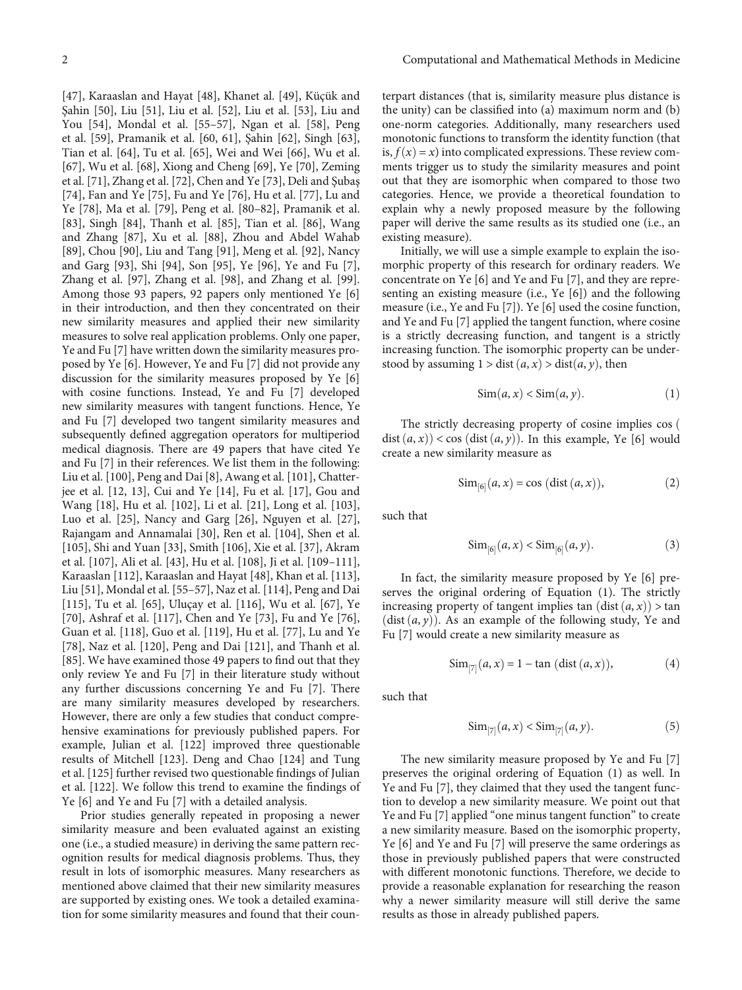[\[47](#page-8-0)], Karaaslan and Hayat [[48](#page-8-0)], Khanet al. [[49](#page-8-0)], Küçük and Şahin [\[50\]](#page-8-0), Liu [[51](#page-8-0)], Liu et al. [\[52\]](#page-8-0), Liu et al. [[53](#page-8-0)], Liu and You [[54](#page-8-0)], Mondal et al. [\[55](#page-8-0)–[57\]](#page-8-0), Ngan et al. [\[58\]](#page-8-0), Peng et al. [[59](#page-8-0)], Pramanik et al. [\[60, 61](#page-8-0)], Şahin [[62](#page-8-0)], Singh [[63](#page-8-0)], Tian et al. [[64](#page-8-0)], Tu et al. [\[65\]](#page-8-0), Wei and Wei [\[66\]](#page-8-0), Wu et al. [\[67](#page-8-0)], Wu et al. [[68](#page-8-0)], Xiong and Cheng [[69\]](#page-8-0), Ye [\[70\]](#page-8-0), Zeming et al. [[71](#page-8-0)], Zhang et al. [\[72\]](#page-8-0), Chen and Ye [\[73\]](#page-8-0), Deli and Şubaş [\[74](#page-8-0)], Fan and Ye [[75](#page-8-0)], Fu and Ye [\[76\]](#page-8-0), Hu et al. [\[77\]](#page-9-0), Lu and Ye [\[78\]](#page-9-0), Ma et al. [\[79\]](#page-9-0), Peng et al. [[80](#page-9-0)–[82](#page-9-0)], Pramanik et al. [\[83](#page-9-0)], Singh [\[84\]](#page-9-0), Thanh et al. [\[85\]](#page-9-0), Tian et al. [[86](#page-9-0)], Wang and Zhang [\[87\]](#page-9-0), Xu et al. [\[88\]](#page-9-0), Zhou and Abdel Wahab [\[89](#page-9-0)], Chou [[90](#page-9-0)], Liu and Tang [\[91\]](#page-9-0), Meng et al. [\[92\]](#page-9-0), Nancy and Garg [\[93](#page-9-0)], Shi [[94\]](#page-9-0), Son [\[95\]](#page-9-0), Ye [\[96](#page-9-0)], Ye and Fu [[7](#page-6-0)], Zhang et al. [\[97\]](#page-9-0), Zhang et al. [[98](#page-9-0)], and Zhang et al. [[99](#page-9-0)]. Among those 93 papers, 92 papers only mentioned Ye [[6\]](#page-6-0) in their introduction, and then they concentrated on their new similarity measures and applied their new similarity measures to solve real application problems. Only one paper, Ye and Fu [\[7\]](#page-6-0) have written down the similarity measures proposed by Ye [\[6](#page-6-0)]. However, Ye and Fu [[7](#page-6-0)] did not provide any discussion for the similarity measures proposed by Ye [[6\]](#page-6-0) with cosine functions. Instead, Ye and Fu [[7](#page-6-0)] developed new similarity measures with tangent functions. Hence, Ye and Fu [\[7\]](#page-6-0) developed two tangent similarity measures and subsequently defined aggregation operators for multiperiod medical diagnosis. There are 49 papers that have cited Ye and Fu [\[7\]](#page-6-0) in their references. We list them in the following: Liu et al. [[100](#page-9-0)], Peng and Dai [\[8](#page-6-0)], Awang et al. [\[101\]](#page-9-0), Chatterjee et al. [[12](#page-6-0), [13](#page-6-0)], Cui and Ye [[14](#page-7-0)], Fu et al. [[17](#page-7-0)], Gou and Wang [[18](#page-7-0)], Hu et al. [[102](#page-9-0)], Li et al. [[21](#page-7-0)], Long et al. [[103](#page-9-0)], Luo et al. [\[25](#page-7-0)], Nancy and Garg [\[26\]](#page-7-0), Nguyen et al. [[27](#page-7-0)], Rajangam and Annamalai [\[30\]](#page-7-0), Ren et al. [[104\]](#page-9-0), Shen et al. [\[105\]](#page-9-0), Shi and Yuan [\[33](#page-7-0)], Smith [[106](#page-9-0)], Xie et al. [\[37\]](#page-7-0), Akram et al. [[107](#page-9-0)], Ali et al. [\[43\]](#page-7-0), Hu et al. [\[108\]](#page-9-0), Ji et al. [\[109](#page-9-0)–[111](#page-10-0)], Karaaslan [[112](#page-10-0)], Karaaslan and Hayat [[48](#page-8-0)], Khan et al. [[113](#page-10-0)], Liu [[51](#page-8-0)], Mondal et al. [[55](#page-8-0)–[57\]](#page-8-0), Naz et al. [\[114](#page-10-0)], Peng and Dai [\[115\]](#page-10-0), Tu et al. [[65](#page-8-0)], Uluçay et al. [\[116\]](#page-10-0), Wu et al. [[67\]](#page-8-0), Ye [\[70](#page-8-0)], Ashraf et al. [\[117](#page-10-0)], Chen and Ye [\[73\]](#page-8-0), Fu and Ye [[76](#page-8-0)], Guan et al. [\[118](#page-10-0)], Guo et al. [\[119](#page-10-0)], Hu et al. [[77](#page-9-0)], Lu and Ye [\[78](#page-9-0)], Naz et al. [\[120\]](#page-10-0), Peng and Dai [[121](#page-10-0)], and Thanh et al. [\[85](#page-9-0)]. We have examined those 49 papers to find out that they only review Ye and Fu [[7\]](#page-6-0) in their literature study without any further discussions concerning Ye and Fu [[7](#page-6-0)]. There are many similarity measures developed by researchers. However, there are only a few studies that conduct comprehensive examinations for previously published papers. For example, Julian et al. [[122](#page-10-0)] improved three questionable results of Mitchell [\[123](#page-10-0)]. Deng and Chao [[124](#page-10-0)] and Tung et al. [[125](#page-10-0)] further revised two questionable findings of Julian et al. [[122\]](#page-10-0). We follow this trend to examine the findings of Ye [[6](#page-6-0)] and Ye and Fu [[7](#page-6-0)] with a detailed analysis.

Prior studies generally repeated in proposing a newer similarity measure and been evaluated against an existing one (i.e., a studied measure) in deriving the same pattern recognition results for medical diagnosis problems. Thus, they result in lots of isomorphic measures. Many researchers as mentioned above claimed that their new similarity measures are supported by existing ones. We took a detailed examination for some similarity measures and found that their coun-

terpart distances (that is, similarity measure plus distance is the unity) can be classified into (a) maximum norm and (b) one-norm categories. Additionally, many researchers used monotonic functions to transform the identity function (that is,  $f(x) = x$ ) into complicated expressions. These review comments trigger us to study the similarity measures and point out that they are isomorphic when compared to those two categories. Hence, we provide a theoretical foundation to explain why a newly proposed measure by the following paper will derive the same results as its studied one (i.e., an existing measure).

Initially, we will use a simple example to explain the isomorphic property of this research for ordinary readers. We concentrate on Ye [\[6\]](#page-6-0) and Ye and Fu [\[7](#page-6-0)], and they are representing an existing measure (i.e., Ye [\[6\]](#page-6-0)) and the following measure (i.e., Ye and Fu [\[7](#page-6-0)]). Ye [\[6](#page-6-0)] used the cosine function, and Ye and Fu [[7\]](#page-6-0) applied the tangent function, where cosine is a strictly decreasing function, and tangent is a strictly increasing function. The isomorphic property can be understood by assuming  $1 > dist(a, x) > dist(a, y)$ , then

$$
\text{Sim}(a, x) < \text{Sim}(a, y). \tag{1}
$$

The strictly decreasing property of cosine implies cos ( dist  $(a, x)$  < cos (dist  $(a, y)$ ). In this example, Ye [[6](#page-6-0)] would create a new similarity measure as

$$
\text{Sim}_{[6]}(a, x) = \cos(\text{dist}(a, x)),
$$
 (2)

such that

$$
\text{Sim}_{[6]}(a, x) < \text{Sim}_{[6]}(a, y). \tag{3}
$$

In fact, the similarity measure proposed by Ye [[6](#page-6-0)] preserves the original ordering of Equation (1). The strictly increasing property of tangent implies tan  $(dist(a, x)) > tan$  $(dist(a, y))$ . As an example of the following study, Ye and Fu [[7](#page-6-0)] would create a new similarity measure as

$$
\text{Sim}_{[7]}(a, x) = 1 - \tan (\text{dist}(a, x)),
$$
 (4)

such that

$$
\text{Sim}_{[7]}(a, x) < \text{Sim}_{[7]}(a, y). \tag{5}
$$

The new similarity measure proposed by Ye and Fu [[7\]](#page-6-0) preserves the original ordering of Equation (1) as well. In Ye and Fu [[7\]](#page-6-0), they claimed that they used the tangent function to develop a new similarity measure. We point out that Ye and Fu [[7](#page-6-0)] applied "one minus tangent function" to create a new similarity measure. Based on the isomorphic property, Ye [\[6](#page-6-0)] and Ye and Fu [\[7](#page-6-0)] will preserve the same orderings as those in previously published papers that were constructed with different monotonic functions. Therefore, we decide to provide a reasonable explanation for researching the reason why a newer similarity measure will still derive the same results as those in already published papers.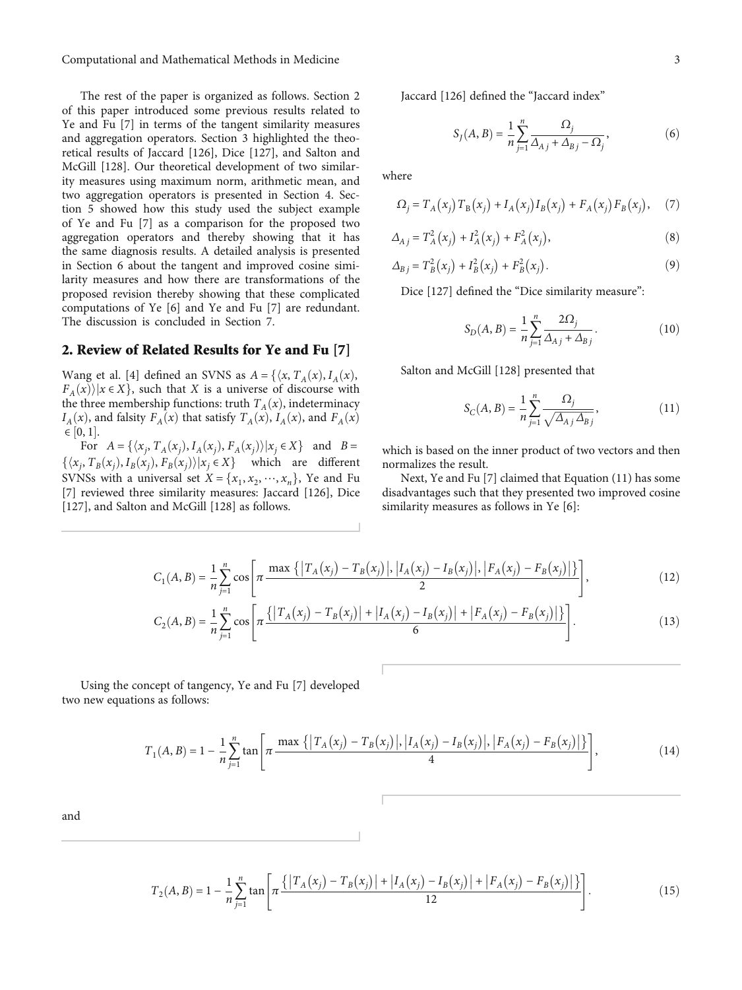<span id="page-2-0"></span>Computational and Mathematical Methods in Medicine 3

The rest of the paper is organized as follows. Section 2 of this paper introduced some previous results related to Ye and Fu [[7](#page-6-0)] in terms of the tangent similarity measures and aggregation operators. Section [3](#page-3-0) highlighted the theoretical results of Jaccard [[126](#page-10-0)], Dice [[127](#page-10-0)], and Salton and McGill [[128](#page-10-0)]. Our theoretical development of two similarity measures using maximum norm, arithmetic mean, and two aggregation operators is presented in Section [4.](#page-4-0) Section [5](#page-4-0) showed how this study used the subject example of Ye and Fu [\[7](#page-6-0)] as a comparison for the proposed two aggregation operators and thereby showing that it has the same diagnosis results. A detailed analysis is presented in Section [6](#page-5-0) about the tangent and improved cosine similarity measures and how there are transformations of the proposed revision thereby showing that these complicated computations of Ye [[6\]](#page-6-0) and Ye and Fu [\[7\]](#page-6-0) are redundant. The discussion is concluded in Section [7](#page-6-0).

## 2. Review of Related Results for Ye and Fu [\[7](#page-6-0)]

Wang et al. [[4\]](#page-6-0) defined an SVNS as  $A = \{ \langle x, T_A(x), I_A(x), \rangle \}$  $F_A(x)$ / $x \in X$ , such that *X* is a universe of discourse with the three membership functions: truth  $T_A(x)$ , indeterminacy  $I_A(x)$ , and falsity  $F_A(x)$  that satisfy  $T_A(x)$ ,  $I_A(x)$ , and  $F_A(x)$  $\in [0, 1].$ For

For  $A = \{ (x_j, T_A(x_j), I_A(x_j), F_A(x_j)) | x_j \in X \}$  and  $B =$ <br> *T* (*x*) *L* (*x*) *E* (*x*))  $(x, T_A(x_j)) | x_j \in X \}$  and different  $\{\langle x_j, T_B(x_j), I_B(x_j), F_B(x_j)\rangle | x_j \in X\}$  which are different<br>SVNIS<sub>O</sub> with a universal set  $X = \{x, x_j, ..., x_n\}$  No and Fu SVNSs with a universal set  $X = \{x_1, x_2, \dots, x_n\}$ , Ye and Fu [\[7](#page-6-0)] reviewed three similarity measures: Jaccard [\[126](#page-10-0)], Dice [\[127\]](#page-10-0), and Salton and McGill [\[128\]](#page-10-0) as follows.

Jaccard [\[126\]](#page-10-0) defined the "Jaccard index"

$$
S_{J}(A, B) = \frac{1}{n} \sum_{j=1}^{n} \frac{\Omega_{j}}{\Delta_{A j} + \Delta_{B j} - \Omega_{j}},
$$
(6)

where

$$
\Omega_j = T_A(x_j) T_B(x_j) + I_A(x_j) I_B(x_j) + F_A(x_j) F_B(x_j), \quad (7)
$$

$$
\Delta_{A j} = T_A^2(x_j) + I_A^2(x_j) + F_A^2(x_j),
$$
\n(8)

$$
\Delta_{Bj} = T_B^2(x_j) + I_B^2(x_j) + F_B^2(x_j).
$$
\n(9)

Dice [\[127\]](#page-10-0) defined the "Dice similarity measure":

$$
S_D(A, B) = \frac{1}{n} \sum_{j=1}^{n} \frac{2\Omega_j}{\Delta_{A,j} + \Delta_{B,j}}.
$$
 (10)

Salton and McGill [\[128\]](#page-10-0) presented that

$$
S_C(A, B) = \frac{1}{n} \sum_{j=1}^{n} \frac{\Omega_j}{\sqrt{\Delta_A \Delta_B j}},
$$
\n(11)

which is based on the inner product of two vectors and then normalizes the result.

Next, Ye and Fu [[7\]](#page-6-0) claimed that Equation (11) has some disadvantages such that they presented two improved cosine similarity measures as follows in Ye [\[6](#page-6-0)]:

$$
C_1(A, B) = \frac{1}{n} \sum_{j=1}^{n} \cos \left[ \pi \frac{\max \left\{ |T_A(x_j) - T_B(x_j)|, |I_A(x_j) - I_B(x_j)|, |F_A(x_j) - F_B(x_j)| \right\}}{2} \right],\tag{12}
$$

$$
C_2(A, B) = \frac{1}{n} \sum_{j=1}^{n} \cos \left[ \pi \frac{\{ |T_A(x_j) - T_B(x_j)| + |I_A(x_j) - I_B(x_j)| + |F_A(x_j) - F_B(x_j)| \} \}}{6} \right].
$$
 (13)

Using the concept of tangency, Ye and Fu [[7\]](#page-6-0) developed two new equations as follows:

$$
T_1(A, B) = 1 - \frac{1}{n} \sum_{j=1}^n \tan \left[ \pi \frac{\max \left\{ |T_A(x_j) - T_B(x_j)|, |I_A(x_j) - I_B(x_j)|, |F_A(x_j) - F_B(x_j)| \right\}}{4} \right],\tag{14}
$$

and

$$
T_2(A, B) = 1 - \frac{1}{n} \sum_{j=1}^n \tan \left[ \pi \frac{\left\{ \left| T_A(x_j) - T_B(x_j) \right| + \left| I_A(x_j) - I_B(x_j) \right| + \left| F_A(x_j) - F_B(x_j) \right| \right\}}{12} \right].
$$
\n(15)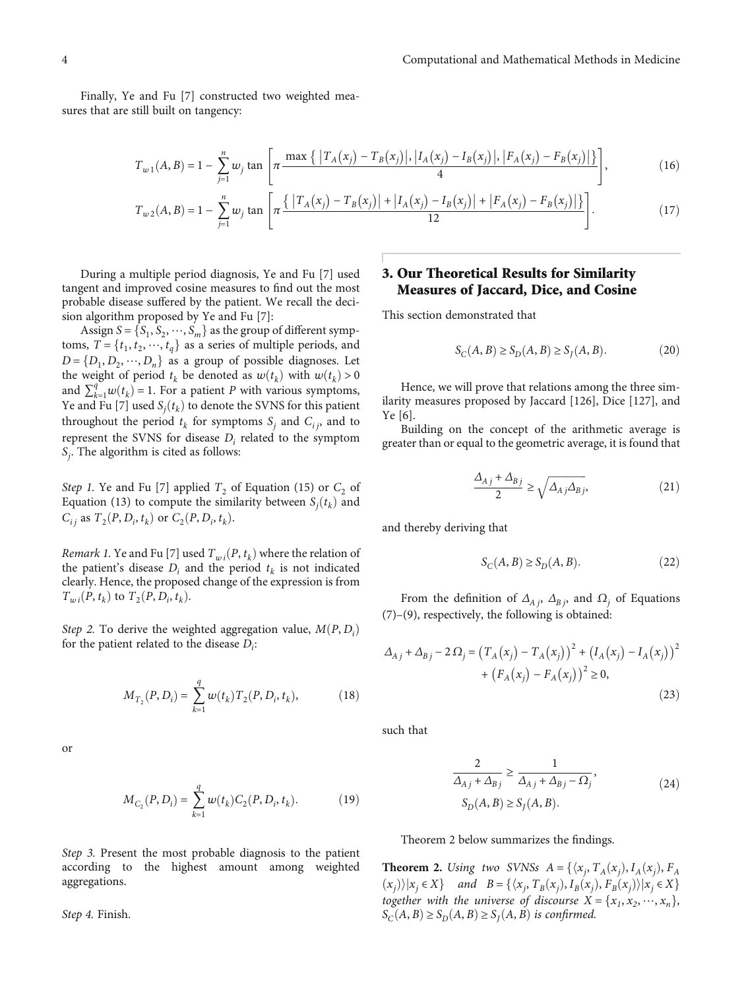<span id="page-3-0"></span>Finally, Ye and Fu [\[7](#page-6-0)] constructed two weighted measures that are still built on tangency:

$$
T_{w1}(A,B) = 1 - \sum_{j=1}^{n} w_j \tan \left[ \pi \frac{\max \{ |T_A(x_j) - T_B(x_j)|, |I_A(x_j) - I_B(x_j)|, |F_A(x_j) - F_B(x_j)| \} }{4} \right],
$$
(16)

$$
T_{w2}(A,B) = 1 - \sum_{j=1}^{n} w_j \tan \left[ \pi \frac{\{ |T_A(x_j) - T_B(x_j)| + |I_A(x_j) - I_B(x_j)| + |F_A(x_j) - F_B(x_j)| \} \}}{12} \right].
$$
 (17)

During a multiple period diagnosis, Ye and Fu [\[7](#page-6-0)] used tangent and improved cosine measures to find out the most probable disease suffered by the patient. We recall the decision algorithm proposed by Ye and Fu [[7\]](#page-6-0):

Assign  $S = \{S_1, S_2, \dots, S_m\}$  as the group of different symptoms,  $T = \{t_1, t_2, \dots, t_q\}$  as a series of multiple periods, and  $D = \{D_1, D_2, \dots, D_n\}$  as a group of possible diagnoses. Let the weight of period  $t_k$  be denoted as  $w(t_k)$  with  $w(t_k) > 0$ and  $\sum_{k=1}^{q} w(t_k) = 1$ . For a patient *P* with various symptoms,<br>Ve and Eu [7] used S (*t*) to denote the SVNS for this patient Ye and Fu [\[7\]](#page-6-0) used  $S_j(t_k)$  to denote the SVNS for this patient<br>throughout the pariod type sumptoms S, and C, and to throughout the period  $t_k$  for symptoms  $S_j$  and  $C_{ij}$ , and to represent the SVNS for disease *Di* related to the symptom *Sj* . The algorithm is cited as follows:

Step 1. Ye and Fu [\[7\]](#page-6-0) applied  $T_2$  of Equation [\(15\)](#page-2-0) or  $C_2$  of Equation ([13\)](#page-2-0) to compute the similarity between  $S_j(t_k)$  and  $G_{\alpha} \circ T_{\alpha}(B, D, t_k) \circ T_{\alpha}(B, D, t_k)$  $C_{ij}$  as  $T_2(P, D_i, t_k)$  or  $C_2(P, D_i, t_k)$ .

*Remark 1*. Ye and Fu [\[7](#page-6-0)] used  $T_{wi}(P, t_k)$  where the relation of the patient's disease  $D_i$  and the period  $t_k$  is not indicated clearly. Hence, the proposed change of the expression is from  $T_{wi}(P, t_k)$  to  $T_2(P, D_i, t_k)$ .

Step 2. To derive the weighted aggregation value,  $M(P, D_i)$  for the patient related to the disease  $D_i$ . for the patient related to the disease *Di* :

$$
M_{T_2}(P, D_i) = \sum_{k=1}^{q} w(t_k) T_2(P, D_i, t_k), \qquad (18)
$$

or

$$
M_{C_2}(P, D_i) = \sum_{k=1}^q w(t_k) C_2(P, D_i, t_k).
$$
 (19)

Step 3. Present the most probable diagnosis to the patient according to the highest amount among weighted aggregations.

Step 4. Finish.

# 3. Our Theoretical Results for Similarity Measures of Jaccard, Dice, and Cosine

This section demonstrated that

$$
S_C(A, B) \ge S_D(A, B) \ge S_J(A, B). \tag{20}
$$

Hence, we will prove that relations among the three similarity measures proposed by Jaccard [\[126](#page-10-0)], Dice [[127](#page-10-0)], and Ye [[6](#page-6-0)].

Building on the concept of the arithmetic average is greater than or equal to the geometric average, it is found that

$$
\frac{\Delta_{A,j} + \Delta_{B,j}}{2} \ge \sqrt{\Delta_{A,j}\Delta_{B,j}},\tag{21}
$$

and thereby deriving that

$$
S_C(A, B) \ge S_D(A, B). \tag{22}
$$

From the definition of  $Δ_{A}$ ,  $Δ_{B}$ , and  $Ω$ <sub>*i*</sub> of Equations [\(7](#page-2-0))–[\(9](#page-2-0)), respectively, the following is obtained:

$$
\Delta_{A,j} + \Delta_{B,j} - 2 \Omega_j = (T_A(x_j) - T_A(x_j))^2 + (I_A(x_j) - I_A(x_j))^2 + (F_A(x_j) - F_A(x_j))^2 \ge 0,
$$
\n(23)

such that

$$
\frac{2}{\Delta_{A_j} + \Delta_{B_j}} \ge \frac{1}{\Delta_{A_j} + \Delta_{B_j} - \Omega_j},
$$
\n
$$
S_D(A, B) \ge S_J(A, B).
$$
\n(24)

Theorem 2 below summarizes the findings.

**Theorem 2.** Using two SVNSs  $A = \{(x_j, T_A(x_j), I_A(x_j), F_A(x_j), F_B(x_j)\}$  $(x_j)$  |  $x_j \in X$ } and *B* = { $\langle x_j, T_B(x_j), I_B(x_j), F_B(x_j) \rangle | x_j \in X$ }<br>
togathor with the universe of discovers  $X - [x, x_j]$ together with the universe of discourse  $X = \{x_1, x_2, \dots, x_n\}$ ,  $S_C(A, B) \ge S_D(A, B) \ge S_I(A, B)$  *is confirmed.*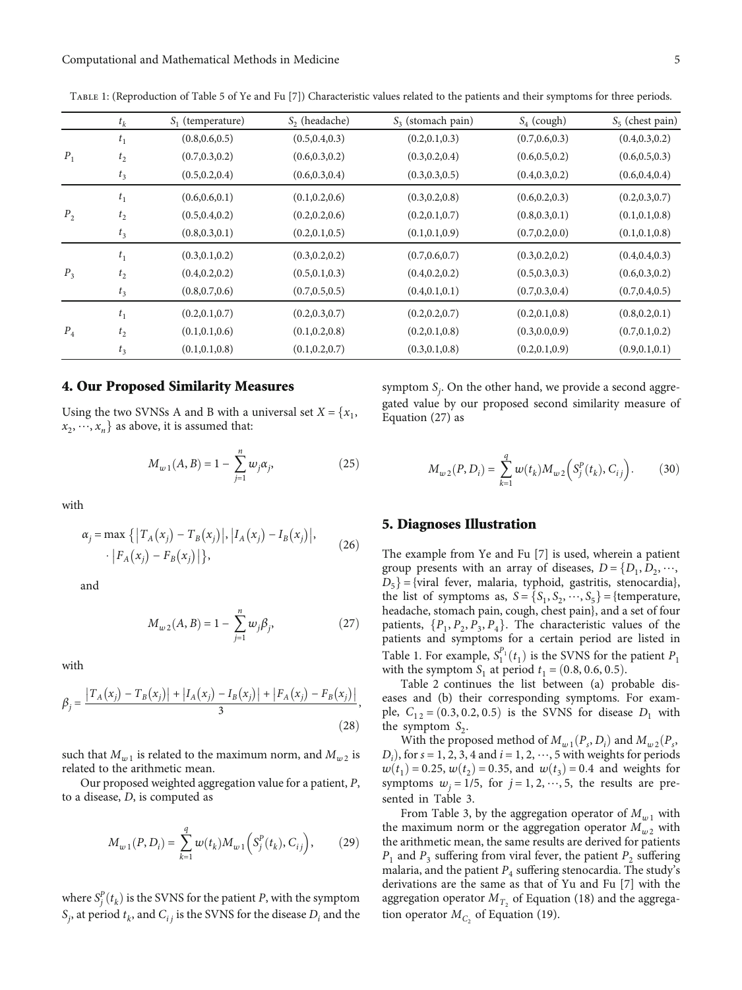|                         | $t_k$          | $S_1$ (temperature) | $S2$ (headache) | $S_3$ (stomach pain) | $S_4$ (cough)   | $S_5$ (chest pain) |
|-------------------------|----------------|---------------------|-----------------|----------------------|-----------------|--------------------|
|                         | t <sub>1</sub> | (0.8, 0.6, 0.5)     | (0.5, 0.4, 0.3) | (0.2, 0.1, 0.3)      | (0.7, 0.6, 0.3) | (0.4, 0.3, 0.2)    |
| $P_1$<br>P <sub>2</sub> | $t_{2}$        | (0.7, 0.3, 0.2)     | (0.6, 0.3, 0.2) | (0.3, 0.2, 0.4)      | (0.6, 0.5, 0.2) | (0.6, 0.5, 0.3)    |
|                         | $t_3$          | (0.5, 0.2, 0.4)     | (0.6, 0.3, 0.4) | (0.3, 0.3, 0.5)      | (0.4, 0.3, 0.2) | (0.6, 0.4, 0.4)    |
|                         | $t_{\rm 1}$    | (0.6, 0.6, 0.1)     | (0.1, 0.2, 0.6) | (0.3, 0.2, 0.8)      | (0.6, 0.2, 0.3) | (0.2, 0.3, 0.7)    |
|                         | $t_{2}$        | (0.5, 0.4, 0.2)     | (0.2, 0.2, 0.6) | (0.2, 0.1, 0.7)      | (0.8, 0.3, 0.1) | (0.1, 0.1, 0.8)    |
|                         | $t_3$          | (0.8, 0.3, 0.1)     | (0.2, 0.1, 0.5) | (0.1, 0.1, 0.9)      | (0.7, 0.2, 0.0) | (0.1, 0.1, 0.8)    |
| $P_3$                   | $t_1$          | (0.3, 0.1, 0.2)     | (0.3, 0.2, 0.2) | (0.7, 0.6, 0.7)      | (0.3, 0.2, 0.2) | (0.4, 0.4, 0.3)    |
|                         | $t_{2}$        | (0.4, 0.2, 0.2)     | (0.5, 0.1, 0.3) | (0.4, 0.2, 0.2)      | (0.5, 0.3, 0.3) | (0.6, 0.3, 0.2)    |
|                         | $t_3$          | (0.8, 0.7, 0.6)     | (0.7, 0.5, 0.5) | (0.4, 0.1, 0.1)      | (0.7, 0.3, 0.4) | (0.7, 0.4, 0.5)    |
| $P_4$                   | $t_1$          | (0.2, 0.1, 0.7)     | (0.2, 0.3, 0.7) | (0.2, 0.2, 0.7)      | (0.2, 0.1, 0.8) | (0.8, 0.2, 0.1)    |
|                         | $t_{2}$        | (0.1, 0.1, 0.6)     | (0.1, 0.2, 0.8) | (0.2, 0.1, 0.8)      | (0.3, 0.0, 0.9) | (0.7, 0.1, 0.2)    |
|                         | $t_3$          | (0.1, 0.1, 0.8)     | (0.1, 0.2, 0.7) | (0.3, 0.1, 0.8)      | (0.2, 0.1, 0.9) | (0.9, 0.1, 0.1)    |
|                         |                |                     |                 |                      |                 |                    |

<span id="page-4-0"></span>Table 1: (Reproduction of Table 5 of Ye and Fu [\[7\]](#page-6-0)) Characteristic values related to the patients and their symptoms for three periods.

### 4. Our Proposed Similarity Measures

Using the two SVNSs A and B with a universal set  $X = \{x_1, x_2, \dots, x_n\}$  $x_2, \dots, x_n$  as above, it is assumed that:

$$
M_{w1}(A,B) = 1 - \sum_{j=1}^{n} w_j \alpha_j,
$$
 (25)

with

$$
\alpha_j = \max \{ |T_A(x_j) - T_B(x_j)|, |I_A(x_j) - I_B(x_j)|, |F_A(x_j) - F_B(x_j)| \},
$$
\n(26)

and

$$
M_{w2}(A,B) = 1 - \sum_{j=1}^{n} w_j \beta_j,
$$
 (27)

with

$$
\beta_j = \frac{|T_A(x_j) - T_B(x_j)| + |I_A(x_j) - I_B(x_j)| + |F_A(x_j) - F_B(x_j)|}{3},
$$
\n(28)

such that  $M_{w1}$  is related to the maximum norm, and  $M_{w2}$  is related to the arithmetic mean.

Our proposed weighted aggregation value for a patient, *P*, to a disease, *D*, is computed as

$$
M_{w1}(P, D_i) = \sum_{k=1}^{q} w(t_k) M_{w1}\left(S_j^P(t_k), C_{ij}\right), \qquad (29)
$$

where  $S_f^P(t_k)$  is the SVNS for the patient *P*, with the symptom  $S_{\text{c}}$  at newight the state SVNS for the disease *D* and the  $S_j$ , at period  $t_k$ , and  $C_{ij}$  is the SVNS for the disease  $D_i$  and the

symptom *Sj* . On the other hand, we provide a second aggregated value by our proposed second similarity measure of Equation (27) as

$$
M_{w2}(P, D_i) = \sum_{k=1}^{q} w(t_k) M_{w2} \left( S_j^P(t_k), C_{ij} \right).
$$
 (30)

#### 5. Diagnoses Illustration

The example from Ye and Fu [\[7](#page-6-0)] is used, wherein a patient group presents with an array of diseases,  $D = \{D_1, D_2, \dots, D_n\}$  $D_5$  = {viral fever, malaria, typhoid, gastritis, stenocardia}, the list of symptoms as,  $S = \{S_1, S_2, \dots, S_5\} = \{\text{temperature},\}$ headache, stomach pain, cough, chest pain}, and a set of four patients,  $\{P_1, P_2, P_3, P_4\}$ . The characteristic values of the patients and symptoms for a certain period are listed in Table 1. For example,  $S_1^{P_1}(t_1)$  is the SVNS for the patient  $P_1$  with the symptom *S*, at period  $t_1 = (0.8, 0.6, 0.5)$ with the symptom  $S_1$  at period  $t_1 = (0.8, 0.6, 0.5)$ .

Table [2](#page-5-0) continues the list between (a) probable diseases and (b) their corresponding symptoms. For example,  $C_{12} = (0.3, 0.2, 0.5)$  is the SVNS for disease  $D_1$  with the symptom  $S_2$ .

With the proposed method of  $M_{w1}(P_s, D_i)$  and  $M_{w2}(P_s, D_i)$  for  $s = 1, 2, 3, 4$  and  $i = 1, 2, \dots, 5$  with weights for periods  $D_i$ ), for  $s = 1, 2, 3, 4$  and  $i = 1, 2, \dots, 5$  with weights for periods  $u(t) = 0.25$   $u(t) = 0.35$  and  $u(t) = 0.4$  and weights for  $w(t_1) = 0.25, w(t_2) = 0.35$ , and  $w(t_3) = 0.4$  and weights for symptoms  $w_i = 1/5$ , for  $j = 1, 2, \dots, 5$ , the results are presented in Table [3.](#page-5-0)

From Table [3](#page-5-0), by the aggregation operator of  $M_{w1}$  with the maximum norm or the aggregation operator  $M_{w2}$  with the arithmetic mean, the same results are derived for patients  $P_1$  and  $P_3$  suffering from viral fever, the patient  $P_2$  suffering malaria, and the patient  $P_4$  suffering stenocardia. The study's derivations are the same as that of Yu and Fu [[7](#page-6-0)] with the aggregation operator  $M_{T_2}$  of Equation ([18](#page-3-0)) and the aggregation operator  $M_{C_2}$  of Equation ([19](#page-3-0)).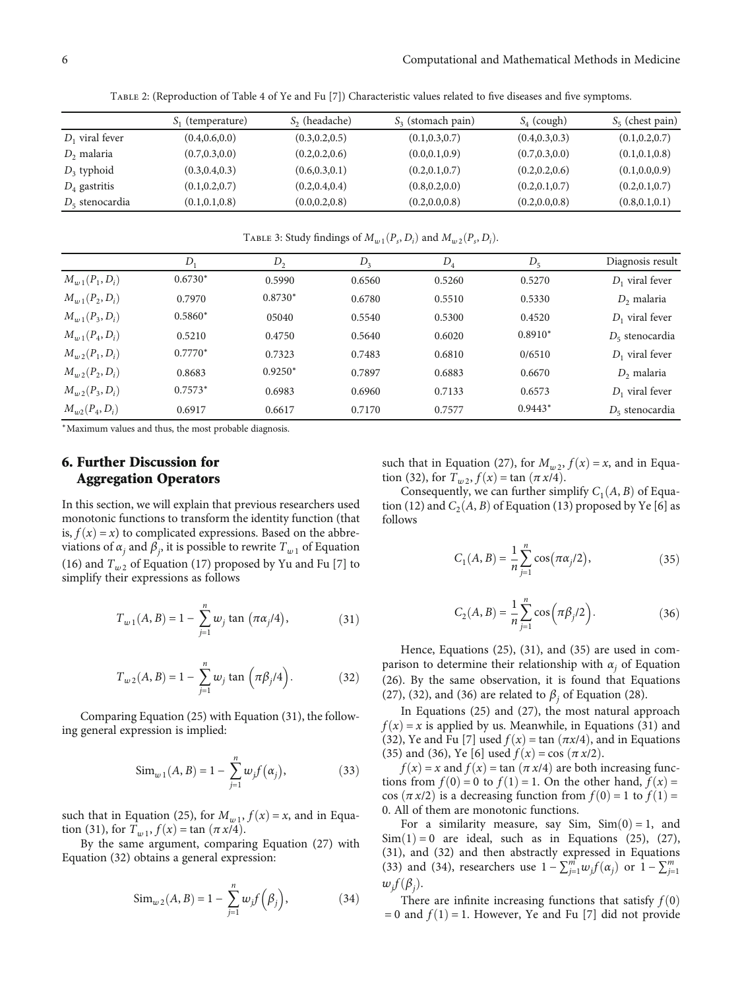Table 2: (Reproduction of Table 4 of Ye and Fu [[7](#page-6-0)]) Characteristic values related to five diseases and five symptoms.

<span id="page-5-0"></span>

|                   | $S_1$ (temperature) | $S2$ (headache) | $S_3$ (stomach pain) | $S_4$ (cough)   | $S_5$ (chest pain) |
|-------------------|---------------------|-----------------|----------------------|-----------------|--------------------|
| $D_1$ viral fever | (0.4, 0.6, 0.0)     | (0.3, 0.2, 0.5) | (0.1, 0.3, 0.7)      | (0.4, 0.3, 0.3) | (0.1, 0.2, 0.7)    |
| $D2$ malaria      | (0.7, 0.3, 0.0)     | (0.2, 0.2, 0.6) | (0.0, 0.1, 0.9)      | (0.7, 0.3, 0.0) | (0.1, 0.1, 0.8)    |
| $D_3$ typhoid     | (0.3, 0.4, 0.3)     | (0.6, 0.3, 0.1) | (0.2, 0.1, 0.7)      | (0.2, 0.2, 0.6) | (0.1, 0.0, 0.9)    |
| $D_4$ gastritis   | (0.1, 0.2, 0.7)     | (0.2, 0.4, 0.4) | (0.8, 0.2, 0.0)      | (0.2, 0.1, 0.7) | (0.2, 0.1, 0.7)    |
| $D_5$ stenocardia | (0.1, 0.1, 0.8)     | (0.0, 0.2, 0.8) | (0.2, 0.0, 0.8)      | (0.2, 0.0, 0.8) | (0.8, 0.1, 0.1)    |

TABLE 3: Study findings of  $M_{w}$ <sub>1</sub> $(P_s, D_i)$  and  $M_{w}$ <sub>2</sub> $(P_s, D_i)$ .

|                    | D         | $D_2$     | $D_3$  | $D_4$  | $D_5$     | Diagnosis result  |
|--------------------|-----------|-----------|--------|--------|-----------|-------------------|
| $M_{w1}(P_1, D_i)$ | $0.6730*$ | 0.5990    | 0.6560 | 0.5260 | 0.5270    | $D_1$ viral fever |
| $M_{w1}(P_2, D_i)$ | 0.7970    | $0.8730*$ | 0.6780 | 0.5510 | 0.5330    | $D2$ malaria      |
| $M_{w1}(P_3, D_i)$ | $0.5860*$ | 05040     | 0.5540 | 0.5300 | 0.4520    | $D_1$ viral fever |
| $M_{w1}(P_4, D_i)$ | 0.5210    | 0.4750    | 0.5640 | 0.6020 | $0.8910*$ | $D_5$ stenocardia |
| $M_{w2}(P_1, D_i)$ | $0.7770*$ | 0.7323    | 0.7483 | 0.6810 | 0/6510    | $D_1$ viral fever |
| $M_{w2}(P_2, D_i)$ | 0.8683    | $0.9250*$ | 0.7897 | 0.6883 | 0.6670    | $D2$ malaria      |
| $M_{w2}(P_3, D_i)$ | $0.7573*$ | 0.6983    | 0.6960 | 0.7133 | 0.6573    | $D_1$ viral fever |
| $M_{w2}(P_4, D_i)$ | 0.6917    | 0.6617    | 0.7170 | 0.7577 | $0.9443*$ | $D5$ stenocardia  |

<sup>∗</sup>Maximum values and thus, the most probable diagnosis.

# 6. Further Discussion for Aggregation Operators

In this section, we will explain that previous researchers used monotonic functions to transform the identity function (that is,  $f(x) = x$  to complicated expressions. Based on the abbreviations of  $\alpha_j$  and  $\beta_j$ , it is possible to rewrite  $T_{w1}$  of Equation [\(16](#page-3-0)) and  $T_{w2}$  of Equation ([17](#page-3-0)) proposed by Yu and Fu [\[7](#page-6-0)] to simplify their expressions as follows

$$
T_{w1}(A, B) = 1 - \sum_{j=1}^{n} w_j \tan (\pi \alpha_j/4), \qquad (31)
$$

$$
T_{w2}(A, B) = 1 - \sum_{j=1}^{n} w_j \tan \left( \pi \beta_j / 4 \right).
$$
 (32)

Comparing Equation [\(25\)](#page-4-0) with Equation (31), the following general expression is implied:

$$
\text{Sim}_{w1}(A, B) = 1 - \sum_{j=1}^{n} w_j f(\alpha_j), \tag{33}
$$

such that in Equation ([25](#page-4-0)), for  $M_{w1}$ ,  $f(x) = x$ , and in Equation (31), for  $T_{w}$ ,  $f(x) = \tan(\pi x/4)$ .

By the same argument, comparing Equation [\(27\)](#page-4-0) with Equation (32) obtains a general expression:

$$
\text{Sim}_{w2}(A, B) = 1 - \sum_{j=1}^{n} w_j f(\beta_j), \tag{34}
$$

such that in Equation ([27](#page-4-0)), for  $M_{w2}$ ,  $f(x) = x$ , and in Equation (32), for  $T_{w2}$ ,  $f(x) = \tan(\pi x/4)$ .

Consequently, we can further simplify  $C_1(A, B)$  of Equa-tion [\(12](#page-2-0)) and  $C_2(A, B)$  of Equation [\(13](#page-2-0)) proposed by Ye [[6\]](#page-6-0) as follows

$$
C_1(A, B) = \frac{1}{n} \sum_{j=1}^{n} \cos(\pi \alpha_j / 2),
$$
 (35)

$$
C_2(A, B) = \frac{1}{n} \sum_{j=1}^{n} \cos(\pi \beta_j / 2).
$$
 (36)

Hence, Equations ([25](#page-4-0)), (31), and (35) are used in comparison to determine their relationship with  $\alpha_j$  of Equation [\(26\)](#page-4-0). By the same observation, it is found that Equations [\(27\)](#page-4-0), (32), and (36) are related to  $\beta_i$  of Equation [\(28](#page-4-0)).

In Equations [\(25](#page-4-0)) and [\(27\)](#page-4-0), the most natural approach  $f(x) = x$  is applied by us. Meanwhile, in Equations (31) and (32), Ye and Fu [[7\]](#page-6-0) used  $f(x) = \tan(\pi x/4)$ , and in Equations (35) and (36), Ye [[6\]](#page-6-0) used  $f(x) = \cos(\pi x/2)$ .

 $f(x) = x$  and  $f(x) = \tan(\pi x/4)$  are both increasing functions from  $f(0) = 0$  to  $f(1) = 1$ . On the other hand,  $f(x) =$ cos  $(\pi x/2)$  is a decreasing function from  $f(0) = 1$  to  $f(1) =$ 0. All of them are monotonic functions.

For a similarity measure, say Sim,  $Sim(0) = 1$ , and  $Sim(1) = 0$  are ideal, such as in Equations [\(25](#page-4-0)), ([27](#page-4-0)), (31), and (32) and then abstractly expressed in Equations (33) and (34), researchers use  $1 - \sum_{j=1}^{m} w_j f(\alpha_j)$  or  $1 - \sum_{j=1}^{m} w_j f(\alpha_j)$  $w_j f(\beta_j)$ .<br>The

There are infinite increasing functions that satisfy  $f(0)$  $= 0$  and  $f(1) = 1$ . However, Ye and Fu [\[7](#page-6-0)] did not provide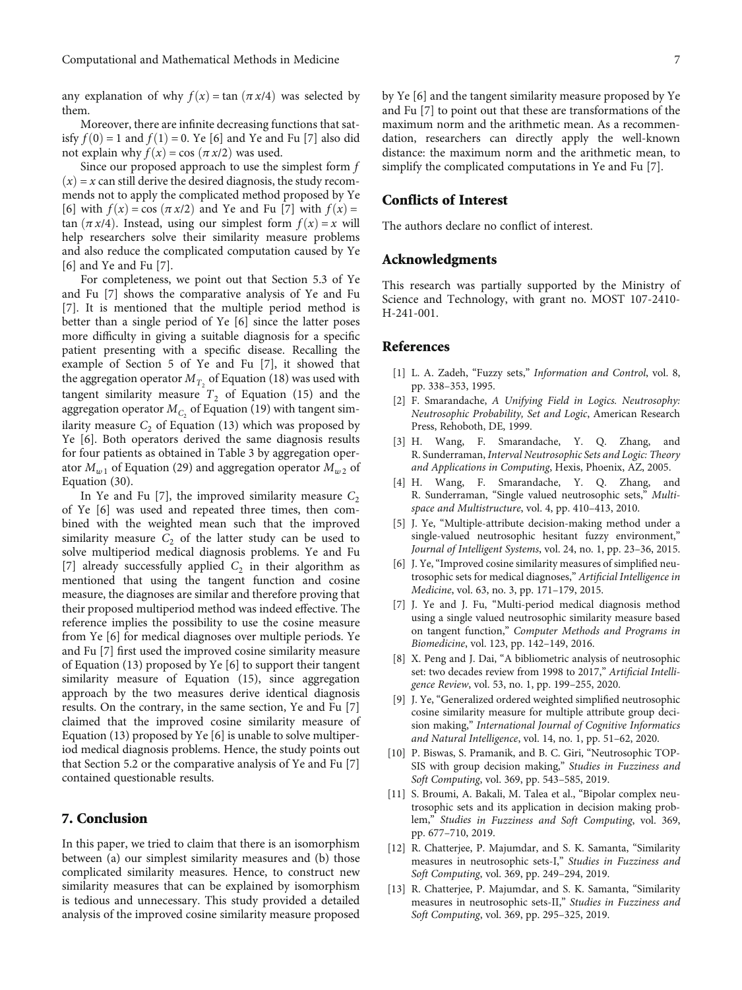<span id="page-6-0"></span>any explanation of why  $f(x) = \tan(\pi x/4)$  was selected by them.

Moreover, there are infinite decreasing functions that satisfy  $f(0) = 1$  and  $f(1) = 0$ . Ye [6] and Ye and Fu [7] also did not explain why  $f(x) = \cos(\pi x/2)$  was used.

Since our proposed approach to use the simplest form *f*  $(x) = x$  can still derive the desired diagnosis, the study recommends not to apply the complicated method proposed by Ye [6] with  $f(x) = \cos(\pi x/2)$  and Ye and Fu [7] with  $f(x) =$ tan  $(\pi x/4)$ . Instead, using our simplest form  $f(x) = x$  will help researchers solve their similarity measure problems and also reduce the complicated computation caused by Ye [6] and Ye and Fu [7].

For completeness, we point out that Section 5.3 of Ye and Fu [7] shows the comparative analysis of Ye and Fu [7]. It is mentioned that the multiple period method is better than a single period of Ye [6] since the latter poses more difficulty in giving a suitable diagnosis for a specific patient presenting with a specific disease. Recalling the example of Section 5 of Ye and Fu [7], it showed that the aggregation operator  $M_{T_2}$  of Equation ([18](#page-3-0)) was used with tangent similarity measure  $T_2$  of Equation [\(15\)](#page-2-0) and the aggregation operator  $M_{C_2}$  of Equation ([19\)](#page-3-0) with tangent similarity measure  $C_2$  of Equation [\(13\)](#page-2-0) which was proposed by Ye [6]. Both operators derived the same diagnosis results for four patients as obtained in Table [3](#page-5-0) by aggregation operator  $M_{w1}$  of Equation ([29\)](#page-4-0) and aggregation operator  $M_{w2}$  of Equation ([30](#page-4-0)).

In Ye and Fu [7], the improved similarity measure  $C_2$ of Ye [6] was used and repeated three times, then combined with the weighted mean such that the improved similarity measure  $C_2$  of the latter study can be used to solve multiperiod medical diagnosis problems. Ye and Fu [7] already successfully applied  $C_2$  in their algorithm as mentioned that using the tangent function and cosine measure, the diagnoses are similar and therefore proving that their proposed multiperiod method was indeed effective. The reference implies the possibility to use the cosine measure from Ye [6] for medical diagnoses over multiple periods. Ye and Fu [7] first used the improved cosine similarity measure of Equation ([13](#page-2-0)) proposed by Ye [6] to support their tangent similarity measure of Equation ([15](#page-2-0)), since aggregation approach by the two measures derive identical diagnosis results. On the contrary, in the same section, Ye and Fu [7] claimed that the improved cosine similarity measure of Equation ([13](#page-2-0)) proposed by Ye [6] is unable to solve multiperiod medical diagnosis problems. Hence, the study points out that Section 5.2 or the comparative analysis of Ye and Fu [7] contained questionable results.

## 7. Conclusion

In this paper, we tried to claim that there is an isomorphism between (a) our simplest similarity measures and (b) those complicated similarity measures. Hence, to construct new similarity measures that can be explained by isomorphism is tedious and unnecessary. This study provided a detailed analysis of the improved cosine similarity measure proposed

by Ye [6] and the tangent similarity measure proposed by Ye and Fu [7] to point out that these are transformations of the maximum norm and the arithmetic mean. As a recommendation, researchers can directly apply the well-known distance: the maximum norm and the arithmetic mean, to simplify the complicated computations in Ye and Fu [7].

## Conflicts of Interest

The authors declare no conflict of interest.

## Acknowledgments

This research was partially supported by the Ministry of Science and Technology, with grant no. MOST 107-2410- H-241-001.

#### References

- [1] L. A. Zadeh, "Fuzzy sets," Information and Control, vol. 8, pp. 338–353, 1995.
- [2] F. Smarandache, A Unifying Field in Logics. Neutrosophy: Neutrosophic Probability, Set and Logic, American Research Press, Rehoboth, DE, 1999.
- [3] H. Wang, F. Smarandache, Y. Q. Zhang, and R. Sunderraman, Interval Neutrosophic Sets and Logic: Theory and Applications in Computing, Hexis, Phoenix, AZ, 2005.
- [4] H. Wang, F. Smarandache, Y. Q. Zhang, and R. Sunderraman, "Single valued neutrosophic sets," Multispace and Multistructure, vol. 4, pp. 410–413, 2010.
- [5] J. Ye, "Multiple-attribute decision-making method under a single-valued neutrosophic hesitant fuzzy environment," Journal of Intelligent Systems, vol. 24, no. 1, pp. 23–36, 2015.
- [6] J. Ye, "Improved cosine similarity measures of simplified neutrosophic sets for medical diagnoses," Artificial Intelligence in Medicine, vol. 63, no. 3, pp. 171–179, 2015.
- [7] J. Ye and J. Fu, "Multi-period medical diagnosis method using a single valued neutrosophic similarity measure based on tangent function," Computer Methods and Programs in Biomedicine, vol. 123, pp. 142–149, 2016.
- [8] X. Peng and J. Dai, "A bibliometric analysis of neutrosophic set: two decades review from 1998 to 2017," Artificial Intelligence Review, vol. 53, no. 1, pp. 199–255, 2020.
- [9] J. Ye, "Generalized ordered weighted simplified neutrosophic cosine similarity measure for multiple attribute group decision making," International Journal of Cognitive Informatics and Natural Intelligence, vol. 14, no. 1, pp. 51–62, 2020.
- [10] P. Biswas, S. Pramanik, and B. C. Giri, "Neutrosophic TOP-SIS with group decision making," Studies in Fuzziness and Soft Computing, vol. 369, pp. 543–585, 2019.
- [11] S. Broumi, A. Bakali, M. Talea et al., "Bipolar complex neutrosophic sets and its application in decision making problem," Studies in Fuzziness and Soft Computing, vol. 369, pp. 677–710, 2019.
- [12] R. Chatterjee, P. Majumdar, and S. K. Samanta, "Similarity measures in neutrosophic sets-I," Studies in Fuzziness and Soft Computing, vol. 369, pp. 249–294, 2019.
- [13] R. Chatterjee, P. Majumdar, and S. K. Samanta, "Similarity measures in neutrosophic sets-II," Studies in Fuzziness and Soft Computing, vol. 369, pp. 295–325, 2019.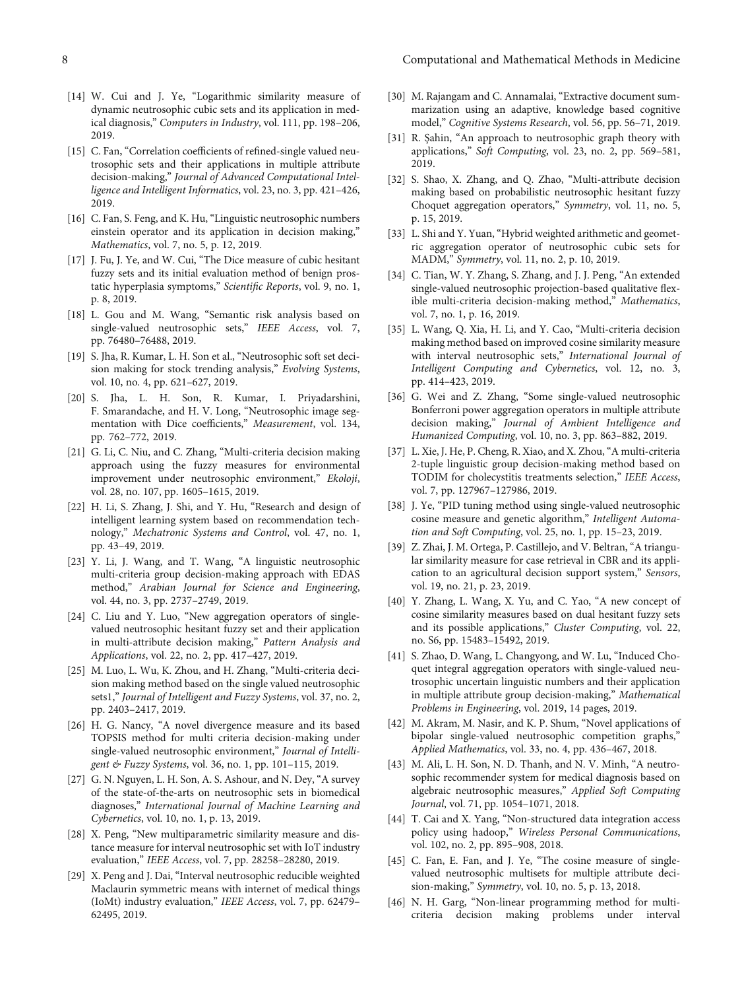- <span id="page-7-0"></span>[14] W. Cui and J. Ye, "Logarithmic similarity measure of dynamic neutrosophic cubic sets and its application in medical diagnosis," Computers in Industry, vol. 111, pp. 198–206, 2019.
- [15] C. Fan, "Correlation coefficients of refined-single valued neutrosophic sets and their applications in multiple attribute decision-making," Journal of Advanced Computational Intelligence and Intelligent Informatics, vol. 23, no. 3, pp. 421–426, 2019.
- [16] C. Fan, S. Feng, and K. Hu, "Linguistic neutrosophic numbers einstein operator and its application in decision making," Mathematics, vol. 7, no. 5, p. 12, 2019.
- [17] J. Fu, J. Ye, and W. Cui, "The Dice measure of cubic hesitant fuzzy sets and its initial evaluation method of benign prostatic hyperplasia symptoms," Scientific Reports, vol. 9, no. 1, p. 8, 2019.
- [18] L. Gou and M. Wang, "Semantic risk analysis based on single-valued neutrosophic sets," IEEE Access, vol. 7, pp. 76480–76488, 2019.
- [19] S. Jha, R. Kumar, L. H. Son et al., "Neutrosophic soft set decision making for stock trending analysis," Evolving Systems, vol. 10, no. 4, pp. 621–627, 2019.
- [20] S. Jha, L. H. Son, R. Kumar, I. Priyadarshini, F. Smarandache, and H. V. Long, "Neutrosophic image segmentation with Dice coefficients," Measurement, vol. 134, pp. 762–772, 2019.
- [21] G. Li, C. Niu, and C. Zhang, "Multi-criteria decision making approach using the fuzzy measures for environmental improvement under neutrosophic environment," Ekoloji, vol. 28, no. 107, pp. 1605–1615, 2019.
- [22] H. Li, S. Zhang, J. Shi, and Y. Hu, "Research and design of intelligent learning system based on recommendation technology," Mechatronic Systems and Control, vol. 47, no. 1, pp. 43–49, 2019.
- [23] Y. Li, J. Wang, and T. Wang, "A linguistic neutrosophic multi-criteria group decision-making approach with EDAS method," Arabian Journal for Science and Engineering, vol. 44, no. 3, pp. 2737–2749, 2019.
- [24] C. Liu and Y. Luo, "New aggregation operators of singlevalued neutrosophic hesitant fuzzy set and their application in multi-attribute decision making," Pattern Analysis and Applications, vol. 22, no. 2, pp. 417–427, 2019.
- [25] M. Luo, L. Wu, K. Zhou, and H. Zhang, "Multi-criteria decision making method based on the single valued neutrosophic sets1," Journal of Intelligent and Fuzzy Systems, vol. 37, no. 2, pp. 2403–2417, 2019.
- [26] H. G. Nancy, "A novel divergence measure and its based TOPSIS method for multi criteria decision-making under single-valued neutrosophic environment," Journal of Intelligent & Fuzzy Systems, vol. 36, no. 1, pp. 101–115, 2019.
- [27] G. N. Nguyen, L. H. Son, A. S. Ashour, and N. Dey, "A survey of the state-of-the-arts on neutrosophic sets in biomedical diagnoses," International Journal of Machine Learning and Cybernetics, vol. 10, no. 1, p. 13, 2019.
- [28] X. Peng, "New multiparametric similarity measure and distance measure for interval neutrosophic set with IoT industry evaluation," IEEE Access, vol. 7, pp. 28258–28280, 2019.
- [29] X. Peng and J. Dai, "Interval neutrosophic reducible weighted Maclaurin symmetric means with internet of medical things (IoMt) industry evaluation," IEEE Access, vol. 7, pp. 62479– 62495, 2019.
- [30] M. Rajangam and C. Annamalai, "Extractive document summarization using an adaptive, knowledge based cognitive model," Cognitive Systems Research, vol. 56, pp. 56–71, 2019.
- [31] R. Şahin, "An approach to neutrosophic graph theory with applications," Soft Computing, vol. 23, no. 2, pp. 569–581, 2019.
- [32] S. Shao, X. Zhang, and Q. Zhao, "Multi-attribute decision making based on probabilistic neutrosophic hesitant fuzzy Choquet aggregation operators," Symmetry, vol. 11, no. 5, p. 15, 2019.
- [33] L. Shi and Y. Yuan, "Hybrid weighted arithmetic and geometric aggregation operator of neutrosophic cubic sets for MADM," Symmetry, vol. 11, no. 2, p. 10, 2019.
- [34] C. Tian, W. Y. Zhang, S. Zhang, and J. J. Peng, "An extended single-valued neutrosophic projection-based qualitative flexible multi-criteria decision-making method," Mathematics, vol. 7, no. 1, p. 16, 2019.
- [35] L. Wang, Q. Xia, H. Li, and Y. Cao, "Multi-criteria decision making method based on improved cosine similarity measure with interval neutrosophic sets," International Journal of Intelligent Computing and Cybernetics, vol. 12, no. 3, pp. 414–423, 2019.
- [36] G. Wei and Z. Zhang, "Some single-valued neutrosophic Bonferroni power aggregation operators in multiple attribute decision making," Journal of Ambient Intelligence and Humanized Computing, vol. 10, no. 3, pp. 863–882, 2019.
- [37] L. Xie, J. He, P. Cheng, R. Xiao, and X. Zhou, "A multi-criteria 2-tuple linguistic group decision-making method based on TODIM for cholecystitis treatments selection," IEEE Access, vol. 7, pp. 127967–127986, 2019.
- [38] J. Ye, "PID tuning method using single-valued neutrosophic cosine measure and genetic algorithm," Intelligent Automation and Soft Computing, vol. 25, no. 1, pp. 15–23, 2019.
- [39] Z. Zhai, J. M. Ortega, P. Castillejo, and V. Beltran, "A triangular similarity measure for case retrieval in CBR and its application to an agricultural decision support system," Sensors, vol. 19, no. 21, p. 23, 2019.
- [40] Y. Zhang, L. Wang, X. Yu, and C. Yao, "A new concept of cosine similarity measures based on dual hesitant fuzzy sets and its possible applications," Cluster Computing, vol. 22, no. S6, pp. 15483–15492, 2019.
- [41] S. Zhao, D. Wang, L. Changyong, and W. Lu, "Induced Choquet integral aggregation operators with single-valued neutrosophic uncertain linguistic numbers and their application in multiple attribute group decision-making," Mathematical Problems in Engineering, vol. 2019, 14 pages, 2019.
- [42] M. Akram, M. Nasir, and K. P. Shum, "Novel applications of bipolar single-valued neutrosophic competition graphs," Applied Mathematics, vol. 33, no. 4, pp. 436–467, 2018.
- [43] M. Ali, L. H. Son, N. D. Thanh, and N. V. Minh, "A neutrosophic recommender system for medical diagnosis based on algebraic neutrosophic measures," Applied Soft Computing Journal, vol. 71, pp. 1054–1071, 2018.
- [44] T. Cai and X. Yang, "Non-structured data integration access policy using hadoop," Wireless Personal Communications, vol. 102, no. 2, pp. 895–908, 2018.
- [45] C. Fan, E. Fan, and J. Ye, "The cosine measure of singlevalued neutrosophic multisets for multiple attribute decision-making," Symmetry, vol. 10, no. 5, p. 13, 2018.
- [46] N. H. Garg, "Non-linear programming method for multicriteria decision making problems under interval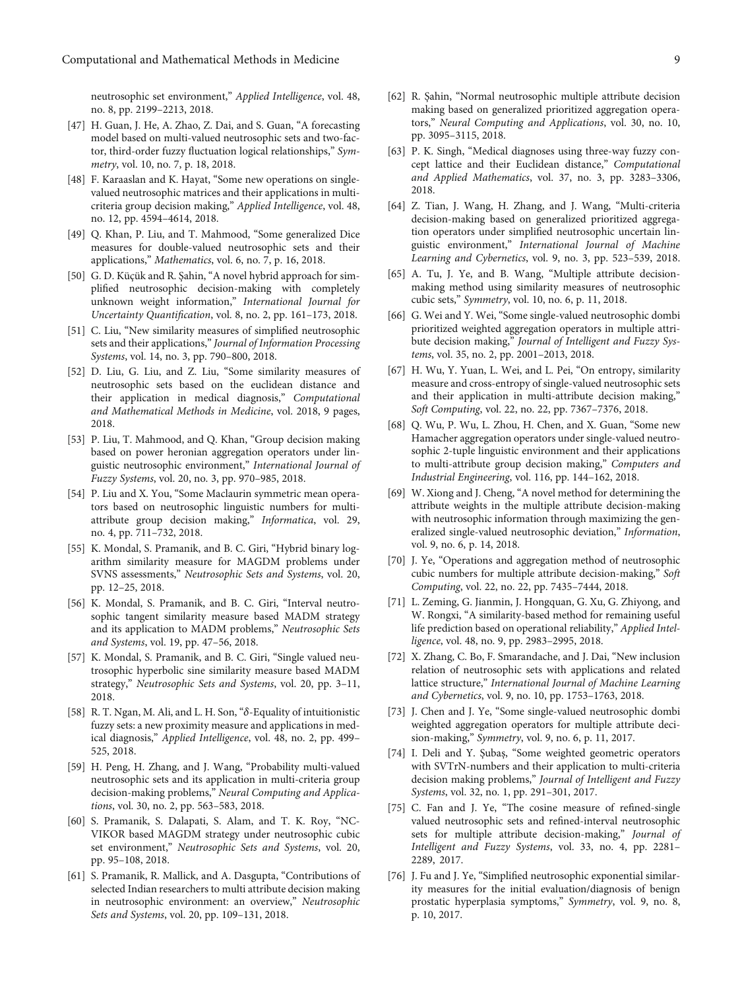<span id="page-8-0"></span>neutrosophic set environment," Applied Intelligence, vol. 48, no. 8, pp. 2199–2213, 2018.

- [47] H. Guan, J. He, A. Zhao, Z. Dai, and S. Guan, "A forecasting model based on multi-valued neutrosophic sets and two-factor, third-order fuzzy fluctuation logical relationships," Symmetry, vol. 10, no. 7, p. 18, 2018.
- [48] F. Karaaslan and K. Hayat, "Some new operations on singlevalued neutrosophic matrices and their applications in multicriteria group decision making," Applied Intelligence, vol. 48, no. 12, pp. 4594–4614, 2018.
- [49] Q. Khan, P. Liu, and T. Mahmood, "Some generalized Dice measures for double-valued neutrosophic sets and their applications," Mathematics, vol. 6, no. 7, p. 16, 2018.
- [50] G. D. Küçük and R. Şahin, "A novel hybrid approach for simplified neutrosophic decision-making with completely unknown weight information," International Journal for Uncertainty Quantification, vol. 8, no. 2, pp. 161–173, 2018.
- [51] C. Liu, "New similarity measures of simplified neutrosophic sets and their applications," Journal of Information Processing Systems, vol. 14, no. 3, pp. 790–800, 2018.
- [52] D. Liu, G. Liu, and Z. Liu, "Some similarity measures of neutrosophic sets based on the euclidean distance and their application in medical diagnosis," Computational and Mathematical Methods in Medicine, vol. 2018, 9 pages, 2018.
- [53] P. Liu, T. Mahmood, and Q. Khan, "Group decision making based on power heronian aggregation operators under linguistic neutrosophic environment," International Journal of Fuzzy Systems, vol. 20, no. 3, pp. 970–985, 2018.
- [54] P. Liu and X. You, "Some Maclaurin symmetric mean operators based on neutrosophic linguistic numbers for multiattribute group decision making," Informatica, vol. 29, no. 4, pp. 711–732, 2018.
- [55] K. Mondal, S. Pramanik, and B. C. Giri, "Hybrid binary logarithm similarity measure for MAGDM problems under SVNS assessments," Neutrosophic Sets and Systems, vol. 20, pp. 12–25, 2018.
- [56] K. Mondal, S. Pramanik, and B. C. Giri, "Interval neutrosophic tangent similarity measure based MADM strategy and its application to MADM problems," Neutrosophic Sets and Systems, vol. 19, pp. 47–56, 2018.
- [57] K. Mondal, S. Pramanik, and B. C. Giri, "Single valued neutrosophic hyperbolic sine similarity measure based MADM strategy," Neutrosophic Sets and Systems, vol. 20, pp. 3–11, 2018.
- [58] R. T. Ngan, M. Ali, and L. H. Son, "*δ*-Equality of intuitionistic fuzzy sets: a new proximity measure and applications in medical diagnosis," Applied Intelligence, vol. 48, no. 2, pp. 499– 525, 2018.
- [59] H. Peng, H. Zhang, and J. Wang, "Probability multi-valued neutrosophic sets and its application in multi-criteria group decision-making problems," Neural Computing and Applications, vol. 30, no. 2, pp. 563–583, 2018.
- [60] S. Pramanik, S. Dalapati, S. Alam, and T. K. Roy, "NC-VIKOR based MAGDM strategy under neutrosophic cubic set environment," Neutrosophic Sets and Systems, vol. 20, pp. 95–108, 2018.
- [61] S. Pramanik, R. Mallick, and A. Dasgupta, "Contributions of selected Indian researchers to multi attribute decision making in neutrosophic environment: an overview," Neutrosophic Sets and Systems, vol. 20, pp. 109–131, 2018.
- [62] R. Şahin, "Normal neutrosophic multiple attribute decision making based on generalized prioritized aggregation operators," Neural Computing and Applications, vol. 30, no. 10, pp. 3095–3115, 2018.
- [63] P. K. Singh, "Medical diagnoses using three-way fuzzy concept lattice and their Euclidean distance," Computational and Applied Mathematics, vol. 37, no. 3, pp. 3283–3306, 2018.
- [64] Z. Tian, J. Wang, H. Zhang, and J. Wang, "Multi-criteria decision-making based on generalized prioritized aggregation operators under simplified neutrosophic uncertain linguistic environment," International Journal of Machine Learning and Cybernetics, vol. 9, no. 3, pp. 523–539, 2018.
- [65] A. Tu, J. Ye, and B. Wang, "Multiple attribute decisionmaking method using similarity measures of neutrosophic cubic sets," Symmetry, vol. 10, no. 6, p. 11, 2018.
- [66] G. Wei and Y. Wei, "Some single-valued neutrosophic dombi prioritized weighted aggregation operators in multiple attribute decision making," Journal of Intelligent and Fuzzy Systems, vol. 35, no. 2, pp. 2001–2013, 2018.
- [67] H. Wu, Y. Yuan, L. Wei, and L. Pei, "On entropy, similarity measure and cross-entropy of single-valued neutrosophic sets and their application in multi-attribute decision making," Soft Computing, vol. 22, no. 22, pp. 7367–7376, 2018.
- [68] Q. Wu, P. Wu, L. Zhou, H. Chen, and X. Guan, "Some new Hamacher aggregation operators under single-valued neutrosophic 2-tuple linguistic environment and their applications to multi-attribute group decision making," Computers and Industrial Engineering, vol. 116, pp. 144–162, 2018.
- [69] W. Xiong and J. Cheng, "A novel method for determining the attribute weights in the multiple attribute decision-making with neutrosophic information through maximizing the generalized single-valued neutrosophic deviation," Information, vol. 9, no. 6, p. 14, 2018.
- [70] J. Ye, "Operations and aggregation method of neutrosophic cubic numbers for multiple attribute decision-making," Soft Computing, vol. 22, no. 22, pp. 7435–7444, 2018.
- [71] L. Zeming, G. Jianmin, J. Hongquan, G. Xu, G. Zhiyong, and W. Rongxi, "A similarity-based method for remaining useful life prediction based on operational reliability," Applied Intelligence, vol. 48, no. 9, pp. 2983–2995, 2018.
- [72] X. Zhang, C. Bo, F. Smarandache, and J. Dai, "New inclusion relation of neutrosophic sets with applications and related lattice structure," International Journal of Machine Learning and Cybernetics, vol. 9, no. 10, pp. 1753–1763, 2018.
- [73] J. Chen and J. Ye, "Some single-valued neutrosophic dombi weighted aggregation operators for multiple attribute decision-making," Symmetry, vol. 9, no. 6, p. 11, 2017.
- [74] I. Deli and Y. Şubaş, "Some weighted geometric operators with SVTrN-numbers and their application to multi-criteria decision making problems," Journal of Intelligent and Fuzzy Systems, vol. 32, no. 1, pp. 291–301, 2017.
- [75] C. Fan and J. Ye, "The cosine measure of refined-single valued neutrosophic sets and refined-interval neutrosophic sets for multiple attribute decision-making," Journal of Intelligent and Fuzzy Systems, vol. 33, no. 4, pp. 2281– 2289, 2017.
- [76] J. Fu and J. Ye, "Simplified neutrosophic exponential similarity measures for the initial evaluation/diagnosis of benign prostatic hyperplasia symptoms," Symmetry, vol. 9, no. 8, p. 10, 2017.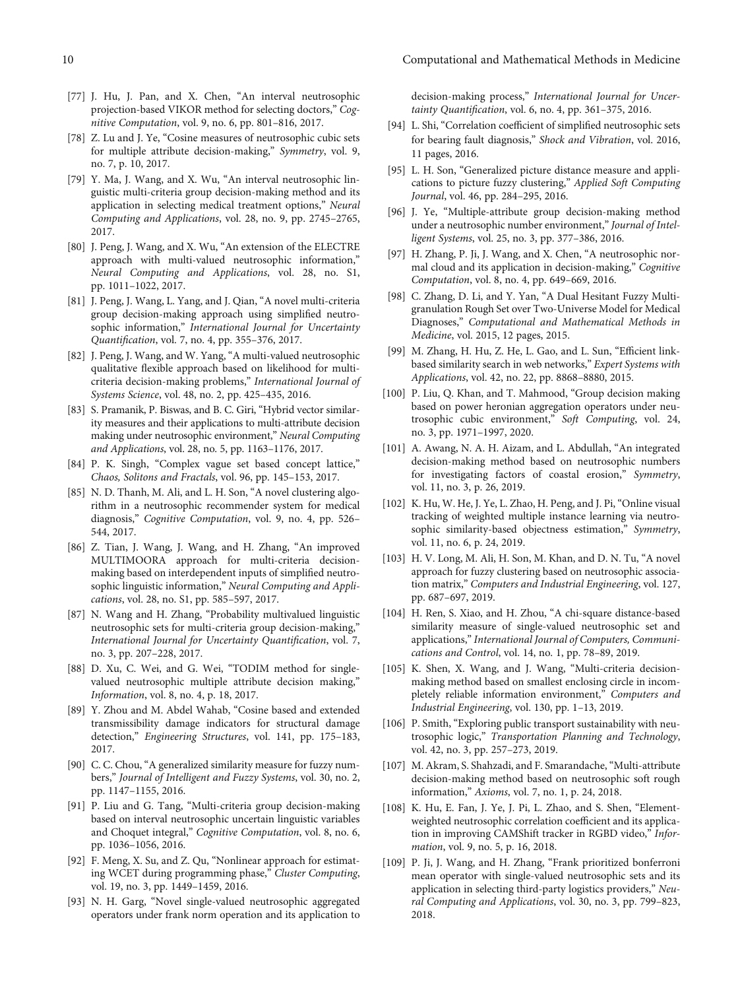- <span id="page-9-0"></span>[77] J. Hu, J. Pan, and X. Chen, "An interval neutrosophic projection-based VIKOR method for selecting doctors," Cognitive Computation, vol. 9, no. 6, pp. 801–816, 2017.
- [78] Z. Lu and J. Ye, "Cosine measures of neutrosophic cubic sets for multiple attribute decision-making," Symmetry, vol. 9, no. 7, p. 10, 2017.
- [79] Y. Ma, J. Wang, and X. Wu, "An interval neutrosophic linguistic multi-criteria group decision-making method and its application in selecting medical treatment options," Neural Computing and Applications, vol. 28, no. 9, pp. 2745–2765, 2017.
- [80] J. Peng, J. Wang, and X. Wu, "An extension of the ELECTRE approach with multi-valued neutrosophic information," Neural Computing and Applications, vol. 28, no. S1, pp. 1011–1022, 2017.
- [81] J. Peng, J. Wang, L. Yang, and J. Qian, "A novel multi-criteria group decision-making approach using simplified neutrosophic information," International Journal for Uncertainty Quantification, vol. 7, no. 4, pp. 355–376, 2017.
- [82] J. Peng, J. Wang, and W. Yang, "A multi-valued neutrosophic qualitative flexible approach based on likelihood for multicriteria decision-making problems," International Journal of Systems Science, vol. 48, no. 2, pp. 425–435, 2016.
- [83] S. Pramanik, P. Biswas, and B. C. Giri, "Hybrid vector similarity measures and their applications to multi-attribute decision making under neutrosophic environment," Neural Computing and Applications, vol. 28, no. 5, pp. 1163–1176, 2017.
- [84] P. K. Singh, "Complex vague set based concept lattice," Chaos, Solitons and Fractals, vol. 96, pp. 145–153, 2017.
- [85] N. D. Thanh, M. Ali, and L. H. Son, "A novel clustering algorithm in a neutrosophic recommender system for medical diagnosis," Cognitive Computation, vol. 9, no. 4, pp. 526– 544, 2017.
- [86] Z. Tian, J. Wang, J. Wang, and H. Zhang, "An improved MULTIMOORA approach for multi-criteria decisionmaking based on interdependent inputs of simplified neutrosophic linguistic information," Neural Computing and Applications, vol. 28, no. S1, pp. 585–597, 2017.
- [87] N. Wang and H. Zhang, "Probability multivalued linguistic neutrosophic sets for multi-criteria group decision-making," International Journal for Uncertainty Quantification, vol. 7, no. 3, pp. 207–228, 2017.
- [88] D. Xu, C. Wei, and G. Wei, "TODIM method for singlevalued neutrosophic multiple attribute decision making," Information, vol. 8, no. 4, p. 18, 2017.
- [89] Y. Zhou and M. Abdel Wahab, "Cosine based and extended transmissibility damage indicators for structural damage detection," Engineering Structures, vol. 141, pp. 175–183, 2017.
- [90] C. C. Chou, "A generalized similarity measure for fuzzy numbers," Journal of Intelligent and Fuzzy Systems, vol. 30, no. 2, pp. 1147–1155, 2016.
- [91] P. Liu and G. Tang, "Multi-criteria group decision-making based on interval neutrosophic uncertain linguistic variables and Choquet integral," Cognitive Computation, vol. 8, no. 6, pp. 1036–1056, 2016.
- [92] F. Meng, X. Su, and Z. Qu, "Nonlinear approach for estimating WCET during programming phase," Cluster Computing, vol. 19, no. 3, pp. 1449–1459, 2016.
- [93] N. H. Garg, "Novel single-valued neutrosophic aggregated operators under frank norm operation and its application to

decision-making process," International Journal for Uncertainty Quantification, vol. 6, no. 4, pp. 361–375, 2016.

- [94] L. Shi, "Correlation coefficient of simplified neutrosophic sets for bearing fault diagnosis," Shock and Vibration, vol. 2016, 11 pages, 2016.
- [95] L. H. Son, "Generalized picture distance measure and applications to picture fuzzy clustering," Applied Soft Computing Journal, vol. 46, pp. 284–295, 2016.
- [96] J. Ye, "Multiple-attribute group decision-making method under a neutrosophic number environment," Journal of Intelligent Systems, vol. 25, no. 3, pp. 377–386, 2016.
- [97] H. Zhang, P. Ji, J. Wang, and X. Chen, "A neutrosophic normal cloud and its application in decision-making," Cognitive Computation, vol. 8, no. 4, pp. 649–669, 2016.
- [98] C. Zhang, D. Li, and Y. Yan, "A Dual Hesitant Fuzzy Multigranulation Rough Set over Two-Universe Model for Medical Diagnoses," Computational and Mathematical Methods in Medicine, vol. 2015, 12 pages, 2015.
- [99] M. Zhang, H. Hu, Z. He, L. Gao, and L. Sun, "Efficient linkbased similarity search in web networks," Expert Systems with Applications, vol. 42, no. 22, pp. 8868–8880, 2015.
- [100] P. Liu, Q. Khan, and T. Mahmood, "Group decision making based on power heronian aggregation operators under neutrosophic cubic environment," Soft Computing, vol. 24, no. 3, pp. 1971–1997, 2020.
- [101] A. Awang, N. A. H. Aizam, and L. Abdullah, "An integrated decision-making method based on neutrosophic numbers for investigating factors of coastal erosion," Symmetry, vol. 11, no. 3, p. 26, 2019.
- [102] K. Hu, W. He, J. Ye, L. Zhao, H. Peng, and J. Pi, "Online visual tracking of weighted multiple instance learning via neutrosophic similarity-based objectness estimation," Symmetry, vol. 11, no. 6, p. 24, 2019.
- [103] H. V. Long, M. Ali, H. Son, M. Khan, and D. N. Tu, "A novel approach for fuzzy clustering based on neutrosophic association matrix," Computers and Industrial Engineering, vol. 127, pp. 687–697, 2019.
- [104] H. Ren, S. Xiao, and H. Zhou, "A chi-square distance-based similarity measure of single-valued neutrosophic set and applications,"International Journal of Computers, Communications and Control, vol. 14, no. 1, pp. 78–89, 2019.
- [105] K. Shen, X. Wang, and J. Wang, "Multi-criteria decisionmaking method based on smallest enclosing circle in incompletely reliable information environment," Computers and Industrial Engineering, vol. 130, pp. 1–13, 2019.
- [106] P. Smith, "Exploring public transport sustainability with neutrosophic logic," Transportation Planning and Technology, vol. 42, no. 3, pp. 257–273, 2019.
- [107] M. Akram, S. Shahzadi, and F. Smarandache,"Multi-attribute decision-making method based on neutrosophic soft rough information," Axioms, vol. 7, no. 1, p. 24, 2018.
- [108] K. Hu, E. Fan, J. Ye, J. Pi, L. Zhao, and S. Shen, "Elementweighted neutrosophic correlation coefficient and its application in improving CAMShift tracker in RGBD video," Information, vol. 9, no. 5, p. 16, 2018.
- [109] P. Ji, J. Wang, and H. Zhang, "Frank prioritized bonferroni mean operator with single-valued neutrosophic sets and its application in selecting third-party logistics providers," Neural Computing and Applications, vol. 30, no. 3, pp. 799–823, 2018.